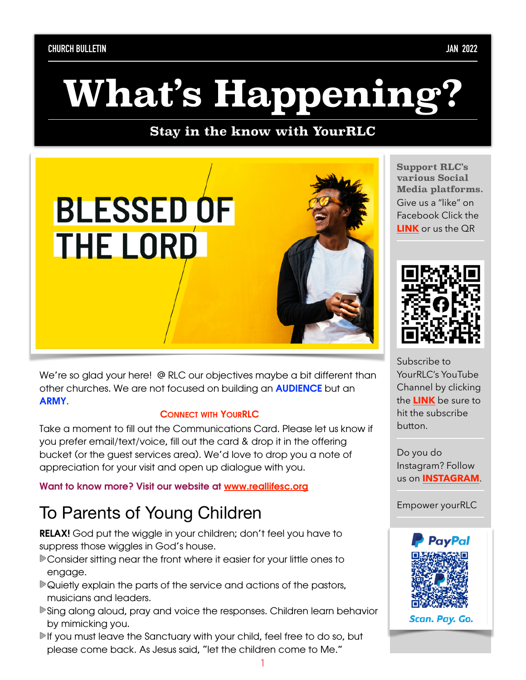# **What's Happening?**

#### **Stay in the know with YourRLC**



We're so glad your here! @ RLC our objectives maybe a bit different than other churches. We are not focused on building an AUDIENCE but an **ARMY** 

#### CONNECT WITH YOURRLC

Take a moment to fill out the Communications Card. Please let us know if you prefer email/text/voice, fill out the card & drop it in the offering bucket (or the guest services area). We'd love to drop you a note of appreciation for your visit and open up dialogue with you.

Want to know more? Visit our website at [www.reallifesc.org](http://www.reallifesc.org)

## To Parents of Young Children

RELAX! God put the wiggle in your children; don't feel you have to suppress those wiggles in God's house.

- Consider sitting near the front where it easier for your little ones to engage.
- Quietly explain the parts of the service and actions of the pastors, musicians and leaders.
- Sing along aloud, pray and voice the responses. Children learn behavior by mimicking you.
- If you must leave the Sanctuary with your child, feel free to do so, but please come back. As Jesus said, "let the children come to Me."

**Support RLC's various Social Media platforms.**  Give us a "like" on Facebook Click the **[LINK](https://www.facebook.com/reallifesc)** or us the QR



Subscribe to YourRLC's YouTube Channel by clicking the **[LINK](https://www.youtube.com/c/RealLifeSC)** be sure to hit the subscribe button.

Do you do Instagram? Follow us on **[INSTAGRAM](https://www.instagram.com/reallifesc/)**.

Empower yourRLC



Scan. Pay. Go.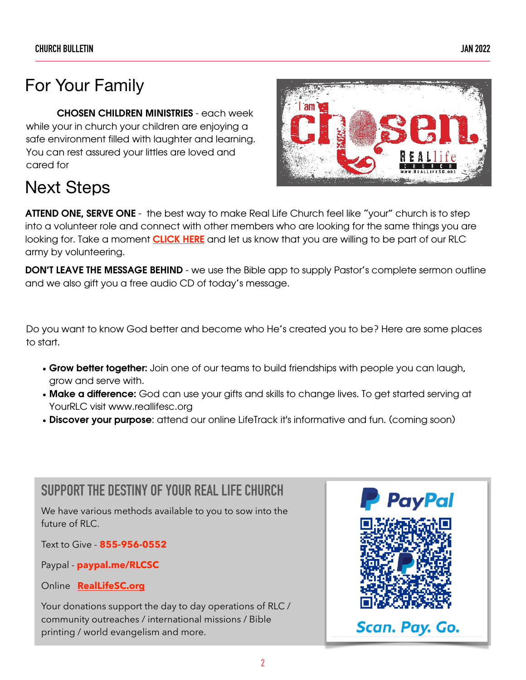## For Your Family

CHOSEN CHILDREN MINISTRIES - each week while your in church your children are enjoying a safe environment filled with laughter and learning. You can rest assured your littles are loved and cared for



## Next Steps

ATTEND ONE, SERVE ONE - the best way to make Real Life Church feel like "your" church is to step into a volunteer role and connect with other members who are looking for the same things you are looking for. Take a moment **[CLICK HERE](https://www.reallifesc.org/ministries/)** and let us know that you are willing to be part of our RLC army by volunteering.

**DON'T LEAVE THE MESSAGE BEHIND** - we use the Bible app to supply Pastor's complete sermon outline and we also gift you a free audio CD of today's message.

Do you want to know God better and become who He's created you to be? Here are some places to start.

- Grow better together: Join one of our teams to build friendships with people you can laugh, grow and serve with.
- Make a difference: God can use your gifts and skills to change lives. To get started serving at YourRLC visit www.reallifesc.org
- Discover your purpose: attend our online LifeTrack it's informative and fun. (coming soon)

### **SUPPORT THE DESTINY OF YOUR REAL LIFE CHURCH**

We have various methods available to you to sow into the future of RLC.

Text to Give - **855-956-0552**

Paypal - **paypal.me/RLCSC**

Online **[RealLifeSC.org](https://www.eservicepayments.com/cgi-bin/Vanco_ver3.vps?appver3=wWsk24ZWJSTZKsGd1RMKlg0BDvsSG3VIWQCPJNNxD8upkiY7JlDavDsozUE7KG0nFx2NSo8LdUKGuGuF396vbXP_oWX9LKx2V9Qg0zIbm4iXHubq5Z7ap5JVmPErc4ZeYHCKCZhESjGNQmZ5B-6dx8PS5vizRCERop53VRUO3Rc=&ver=3)**

Your donations support the day to day operations of RLC / community outreaches / international missions / Bible printing / world evangelism and more.